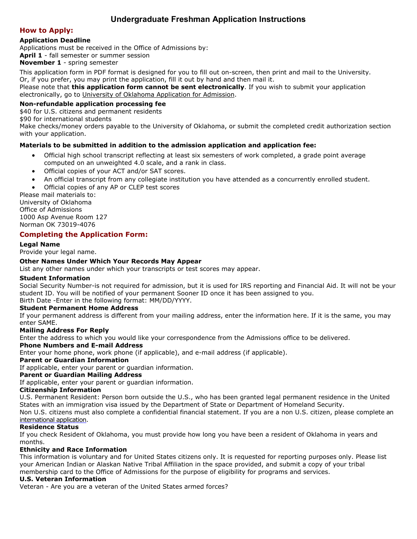## **Undergraduate Freshman Application Instructions**

### **How to Apply:**

### **Application Deadline**

Applications must be received in the Office of Admissions by:

**April 1** - fall semester or summer session

**November 1** - spring semester

This application form in PDF format is designed for you to fill out on-screen, then print and mail to the University. Or, if you prefer, you may print the application, fill it out by hand and then mail it.

Please note that **this application form cannot be sent electronically**. If you wish to submit your application electronically, go to [University of Oklahoma Application for Admission.](https://ssb.ou.edu/pls/PROD/bwskalog.P_DispLoginNon)

### **Non-refundable application processing fee**

\$40 for U.S. citizens and permanent residents

\$90 for international students

Make checks/money orders payable to the University of Oklahoma, or submit the completed credit authorization section with your application.

### **Materials to be submitted in addition to the admission application and application fee:**

- Official high school transcript reflecting at least six semesters of work completed, a grade point average computed on an unweighted 4.0 scale, and a rank in class.
- Official copies of your ACT and/or SAT scores.
- An official transcript from any collegiate institution you have attended as a concurrently enrolled student.
- Official copies of any AP or CLEP test scores

Please mail materials to: University of Oklahoma Office of Admissions 1000 Asp Avenue Room 127 Norman OK 73019-4076

### **Completing the Application Form:**

### **Legal Name**

Provide your legal name.

### **Other Names Under Which Your Records May Appear**

List any other names under which your transcripts or test scores may appear.

### **Student Information**

Social Security Number-is not required for admission, but it is used for IRS reporting and Financial Aid. It will not be your student ID. You will be notified of your permanent Sooner ID once it has been assigned to you. Birth Date -Enter in the following format: MM/DD/YYYY.

### **Student Permanent Home Address**

If your permanent address is different from your mailing address, enter the information here. If it is the same, you may enter SAME.

### **Mailing Address For Reply**

Enter the address to which you would like your correspondence from the Admissions office to be delivered.

### **Phone Numbers and E-mail Address**

Enter your home phone, work phone (if applicable), and e-mail address (if applicable).

### **Parent or Guardian Information**

If applicable, enter your parent or guardian information.

### **Parent or Guardian Mailing Address**

If applicable, enter your parent or guardian information.

### **Citizenship Information**

U.S. Permanent Resident: Person born outside the U.S., who has been granted legal permanent residence in the United States with an immigration visa issued by the Department of State or Department of Homeland Security. Non U.S. citizens must also complete a confidential financial statement. If you are a non U.S. citizen, please complete an

[international](http://www.ou.edu/content/admissions/home/applicationpdf.html) application.

### **Residence Status**

If you check Resident of Oklahoma, you must provide how long you have been a resident of Oklahoma in years and months.

### **Ethnicity and Race Information**

This information is voluntary and for United States citizens only. It is requested for reporting purposes only. Please list your American Indian or Alaskan Native Tribal Affiliation in the space provided, and submit a copy of your tribal membership card to the Office of Admissions for the purpose of eligibility for programs and services.

### **U.S. Veteran Information**

Veteran - Are you are a veteran of the United States armed forces?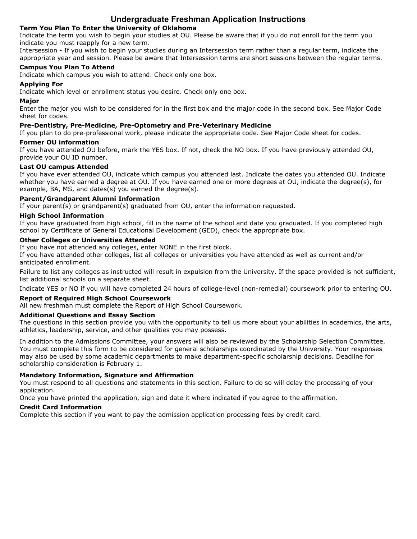### **Undergraduate Freshman Application Instructions**

### **Term You Plan To Enter the University of Oklahoma**

Indicate the term you wish to begin your studies at OU. Please be aware that if you do not enroll for the term you indicate you must reapply for a new term.

Intersession - If you wish to begin your studies during an Intersession term rather than a regular term, indicate the appropriate year and session. Please be aware that Intersession terms are short sessions between the regular terms.

### **Campus You Plan To Attend**

Indicate which campus you wish to attend. Check only one box.

### **Applying For**

Indicate which level or enrollment status you desire. Check only one box.

### **Major**

Enter the major you wish to be considered for in the first box and the major code in the second box. See Major Code sheet for codes.

### **Pre-Dentistry, Pre-Medicine, Pre-Optometry and Pre-Veterinary Medicine**

If you plan to do pre-professional work, please indicate the appropriate code. See Major Code sheet for codes.

### **Former OU information**

If you have attended OU before, mark the YES box. If not, check the NO box. If you have previously attended OU, provide your OU ID number.

### **Last OU campus Attended**

If you have ever attended OU, indicate which campus you attended last. Indicate the dates you attended OU. Indicate whether you have earned a degree at OU. If you have earned one or more degrees at OU, indicate the degree(s), for example, BA, MS, and dates(s) you earned the degree(s).

### **Parent/Grandparent Alumni Information**

If your parent(s) or grandparent(s) graduated from OU, enter the information requested.

### **High School Information**

If you have graduated from high school, fill in the name of the school and date you graduated. If you completed high school by Certificate of General Educational Development (GED), check the appropriate box.

### **Other Colleges or Universities Attended**

If you have not attended any colleges, enter NONE in the first block.

If you have attended other colleges, list all colleges or universities you have attended as well as current and/or anticipated enrollment.

Failure to list any colleges as instructed will result in expulsion from the University. If the space provided is not sufficient, list additional schools on a separate sheet.

Indicate YES or NO if you will have completed 24 hours of college-level (non-remedial) coursework prior to entering OU.

### **Report of Required High School Coursework**

All new freshman must complete the Report of High School Coursework.

### **Additional Questions and Essay Section**

The questions in this section provide you with the opportunity to tell us more about your abilities in academics, the arts, athletics, leadership, service, and other qualities you may possess.

In addition to the Admissions Committee, your answers will also be reviewed by the Scholarship Selection Committee. You must complete this form to be considered for general scholarships coordinated by the University. Your responses may also be used by some academic departments to make department-specific scholarship decisions. Deadline for scholarship consideration is February 1.

### **Mandatory Information, Signature and Affirmation**

You must respond to all questions and statements in this section. Failure to do so will delay the processing of your application.

Once you have printed the application, sign and date it where indicated if you agree to the affirmation.

### **Credit Card Information**

Complete this section if you want to pay the admission application processing fees by credit card.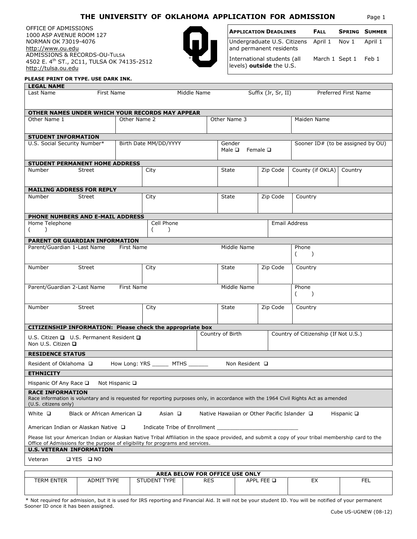### **THE UNIVERSITY OF OKLAHOMA APPLICATION FOR ADMISSION** Page 1

OFFICE OF ADMISSIONS 1000 ASP AVENUE ROOM 127 NORMAN OK 73019-4076 [http://www.ou.edu](http://www.ou.edu/) ADMISSIONS & RECORDS-OU-TULSA 4502 E. 4th ST., 2C11, TULSA OK 74135-2512 [http://tulsa.ou.edu](http://tulsa.ou.edu/)



| <b>APPLICATION DEADLINES</b>                                                 | <b>FALL</b> |                      | <b>SPRING SUMMER</b> |
|------------------------------------------------------------------------------|-------------|----------------------|----------------------|
| Undergraduate U.S. Citizens April 1 Nov 1 April 1<br>and permanent residents |             |                      |                      |
| International students (all<br>levels) outside the U.S.                      |             | March 1 Sept 1 Feb 1 |                      |

#### **PLEASE PRINT OR TYPE. USE DARK INK.**

| <b>LEGAL NAME</b>                                                                                                                                           |                             |                       |                                |                  |                                              |                                             |                                                                                                                                                      |  |
|-------------------------------------------------------------------------------------------------------------------------------------------------------------|-----------------------------|-----------------------|--------------------------------|------------------|----------------------------------------------|---------------------------------------------|------------------------------------------------------------------------------------------------------------------------------------------------------|--|
| Last Name                                                                                                                                                   | First Name                  |                       | Middle Name                    |                  |                                              | Suffix (Jr, Sr, II)                         | Preferred First Name                                                                                                                                 |  |
| OTHER NAMES UNDER WHICH YOUR RECORDS MAY APPEAR                                                                                                             |                             |                       |                                |                  |                                              |                                             |                                                                                                                                                      |  |
| Other Name 1                                                                                                                                                |                             | Other Name 2          |                                |                  | Other Name 3                                 |                                             | Maiden Name                                                                                                                                          |  |
| <b>STUDENT INFORMATION</b>                                                                                                                                  |                             |                       |                                |                  |                                              |                                             |                                                                                                                                                      |  |
| U.S. Social Security Number*                                                                                                                                |                             | Birth Date MM/DD/YYYY |                                |                  | Gender<br>Male $\square$<br>Female $\square$ |                                             | Sooner ID# (to be assigned by OU)                                                                                                                    |  |
| <b>STUDENT PERMANENT HOME ADDRESS</b>                                                                                                                       |                             |                       |                                |                  |                                              |                                             |                                                                                                                                                      |  |
| Number<br>Street                                                                                                                                            |                             | City                  |                                |                  | State                                        | Zip Code                                    | County (if OKLA) Country                                                                                                                             |  |
| <b>MAILING ADDRESS FOR REPLY</b>                                                                                                                            |                             |                       |                                |                  |                                              |                                             |                                                                                                                                                      |  |
| Number<br>Street                                                                                                                                            |                             | City                  |                                |                  | State                                        | Zip Code                                    | Country                                                                                                                                              |  |
| PHONE NUMBERS AND E-MAIL ADDRESS                                                                                                                            |                             |                       |                                |                  |                                              |                                             |                                                                                                                                                      |  |
| Home Telephone<br>$($ )                                                                                                                                     |                             | $\sqrt{2}$            | Cell Phone<br>$\lambda$        |                  |                                              | Email Address                               |                                                                                                                                                      |  |
| PARENT OR GUARDIAN INFORMATION                                                                                                                              |                             |                       |                                |                  |                                              |                                             |                                                                                                                                                      |  |
| Parent/Guardian 1-Last Name First Name                                                                                                                      |                             |                       |                                |                  | Middle Name                                  |                                             | Phone<br>$($ )                                                                                                                                       |  |
| Number<br>Street                                                                                                                                            |                             | City                  |                                |                  | State                                        | Zip Code                                    | Country                                                                                                                                              |  |
| Parent/Guardian 2-Last Name First Name                                                                                                                      |                             |                       |                                |                  | Middle Name                                  |                                             | Phone<br>(                                                                                                                                           |  |
| Number<br>Street                                                                                                                                            |                             | City                  |                                |                  | State                                        | Zip Code                                    | Country                                                                                                                                              |  |
| CITIZENSHIP INFORMATION: Please check the appropriate box                                                                                                   |                             |                       |                                |                  |                                              |                                             |                                                                                                                                                      |  |
| U.S. Citizen $\Box$ U.S. Permanent Resident $\Box$<br>Non U.S. Citizen <b>□</b>                                                                             |                             |                       |                                | Country of Birth |                                              |                                             | Country of Citizenship (If Not U.S.)                                                                                                                 |  |
| <b>RESIDENCE STATUS</b>                                                                                                                                     |                             |                       |                                |                  |                                              |                                             |                                                                                                                                                      |  |
| Resident of Oklahoma □<br><b>ETHNICITY</b>                                                                                                                  |                             |                       | How Long: YRS MTHS             |                  | Non Resident □                               |                                             |                                                                                                                                                      |  |
|                                                                                                                                                             |                             |                       |                                |                  |                                              |                                             |                                                                                                                                                      |  |
| Hispanic Of Any Race □ Not Hispanic □<br><b>RACE INFORMATION</b>                                                                                            |                             |                       |                                |                  |                                              |                                             |                                                                                                                                                      |  |
| Race information is voluntary and is requested for reporting purposes only, in accordance with the 1964 Civil Rights Act as amended<br>(U.S. citizens only) |                             |                       |                                |                  |                                              |                                             |                                                                                                                                                      |  |
| White $\square$                                                                                                                                             | Black or African American □ |                       | Asian $\Box$                   |                  |                                              | Native Hawaiian or Other Pacific Islander □ | Hispanic $\square$                                                                                                                                   |  |
| American Indian or Alaskan Native □                                                                                                                         |                             |                       | Indicate Tribe of Enrollment   |                  |                                              |                                             |                                                                                                                                                      |  |
| Office of Admissions for the purpose of eligibility for programs and services.<br><b>U.S. VETERAN INFORMATION</b>                                           |                             |                       |                                |                  |                                              |                                             | Please list your American Indian or Alaskan Native Tribal Affiliation in the space provided, and submit a copy of your tribal membership card to the |  |
|                                                                                                                                                             |                             |                       |                                |                  |                                              |                                             |                                                                                                                                                      |  |
| <b>OYES DNO</b><br>Veteran                                                                                                                                  |                             |                       |                                |                  |                                              |                                             |                                                                                                                                                      |  |
|                                                                                                                                                             |                             |                       | AREA BELOW FOR OFFICE USE ONLY |                  |                                              |                                             |                                                                                                                                                      |  |

|                 | ANLA DELOW TON OIT ICE OSE ONET |                        |            |               |           |          |  |  |  |  |
|-----------------|---------------------------------|------------------------|------------|---------------|-----------|----------|--|--|--|--|
| ENTER<br>TERM L | <b>TYPE</b><br>ADMIT            | TVDE<br>้UDEN<br>1 F L | <b>RES</b> | APPL<br>EEE O | <u>_,</u> | ---<br>ᅩ |  |  |  |  |
|                 |                                 |                        |            |               |           |          |  |  |  |  |

\* Not required for admission, but it is used for IRS reporting and Financial Aid. It will not be your student ID. You will be notified of your permanent Sooner ID once it has been assigned.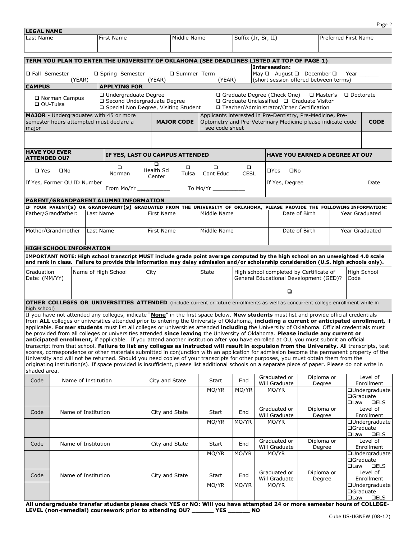|                                             |                                |                     |                                                                                                |                                                                                                                                                                                                                                                                                |                       |                       |                                                                                                                                           |                                                                                                                          | Page 2                                                                                                                                      |
|---------------------------------------------|--------------------------------|---------------------|------------------------------------------------------------------------------------------------|--------------------------------------------------------------------------------------------------------------------------------------------------------------------------------------------------------------------------------------------------------------------------------|-----------------------|-----------------------|-------------------------------------------------------------------------------------------------------------------------------------------|--------------------------------------------------------------------------------------------------------------------------|---------------------------------------------------------------------------------------------------------------------------------------------|
| <b>LEGAL NAME</b><br>Last Name              |                                |                     | First Name                                                                                     | Middle Name                                                                                                                                                                                                                                                                    |                       | Suffix (Jr, Sr, II)   |                                                                                                                                           |                                                                                                                          | Preferred First Name                                                                                                                        |
|                                             |                                |                     |                                                                                                |                                                                                                                                                                                                                                                                                |                       |                       |                                                                                                                                           |                                                                                                                          |                                                                                                                                             |
|                                             |                                |                     |                                                                                                |                                                                                                                                                                                                                                                                                |                       |                       |                                                                                                                                           |                                                                                                                          |                                                                                                                                             |
|                                             |                                |                     |                                                                                                | TERM YOU PLAN TO ENTER THE UNIVERSITY OF OKLAHOMA (SEE DEADLINES LISTED AT TOP OF PAGE 1)                                                                                                                                                                                      |                       |                       | Intersession:                                                                                                                             |                                                                                                                          |                                                                                                                                             |
|                                             | □ Fall Semester                | (YEAR)              |                                                                                                | □ Spring Semester □ Summer Term<br>(YEAR)                                                                                                                                                                                                                                      | (YEAR)                |                       | May $\Box$ August $\Box$ December $\Box$                                                                                                  | (short session offered between terms)                                                                                    | Year                                                                                                                                        |
| <b>CAMPUS</b>                               |                                |                     | <b>APPLYING FOR</b>                                                                            |                                                                                                                                                                                                                                                                                |                       |                       |                                                                                                                                           |                                                                                                                          |                                                                                                                                             |
| $\Box$ OU-Tulsa                             | □ Norman Campus                |                     | □ Undergraduate Degree<br>□ Second Undergraduate Degree                                        | □ Special Non Degree, Visiting Student                                                                                                                                                                                                                                         |                       |                       | $\Box$ Graduate Degree (Check One)<br>$\Box$ Graduate Unclassified $\Box$ Graduate Visitor<br>□ Teacher/Administrator/Other Certification | □ Master's                                                                                                               | $\square$ Doctorate                                                                                                                         |
| major                                       |                                |                     | MAJOR - Undergraduates with 45 or more<br>semester hours attempted must declare a              | <b>MAJOR CODE</b>                                                                                                                                                                                                                                                              | – see code sheet      |                       |                                                                                                                                           | Applicants interested in Pre-Dentistry, Pre-Medicine, Pre-<br>Optometry and Pre-Veterinary Medicine please indicate code | <b>CODE</b>                                                                                                                                 |
|                                             |                                |                     |                                                                                                |                                                                                                                                                                                                                                                                                |                       |                       |                                                                                                                                           |                                                                                                                          |                                                                                                                                             |
| <b>HAVE YOU EVER</b><br><b>ATTENDED OU?</b> |                                |                     |                                                                                                | IF YES, LAST OU CAMPUS ATTENDED                                                                                                                                                                                                                                                |                       |                       |                                                                                                                                           | <b>HAVE YOU EARNED A DEGREE AT OU?</b>                                                                                   |                                                                                                                                             |
| $\square$ Yes                               | $\square$ No                   |                     | $\Box$<br>Norman                                                                               | □<br>$\Box$<br>Health Sci<br>Tulsa                                                                                                                                                                                                                                             | $\Box$<br>Cont Educ   | $\Box$<br><b>CESL</b> | $\Box$ Yes<br>$\square$ No                                                                                                                |                                                                                                                          |                                                                                                                                             |
|                                             | If Yes, Former OU ID Number    |                     |                                                                                                | Center                                                                                                                                                                                                                                                                         |                       |                       | If Yes, Degree                                                                                                                            |                                                                                                                          | Date                                                                                                                                        |
|                                             |                                |                     | From Mo/Yr New York 1997                                                                       |                                                                                                                                                                                                                                                                                | To Mo/Yr ____________ |                       |                                                                                                                                           |                                                                                                                          |                                                                                                                                             |
|                                             |                                |                     | PARENT/GRANDPARENT ALUMNI INFORMATION                                                          | IF YOUR PARENT(S) OR GRANDPARENT(S) GRADUATED FROM THE UNIVERSITY OF OKLAHOMA, PLEASE PROVIDE THE FOLLOWING INFORMATION:                                                                                                                                                       |                       |                       |                                                                                                                                           |                                                                                                                          |                                                                                                                                             |
|                                             | Father/Grandfather:            | Last Name           |                                                                                                | First Name                                                                                                                                                                                                                                                                     | Middle Name           |                       |                                                                                                                                           | Date of Birth                                                                                                            | Year Graduated                                                                                                                              |
|                                             | Mother/Grandmother             | Last Name           |                                                                                                | First Name                                                                                                                                                                                                                                                                     | Middle Name           |                       |                                                                                                                                           | Date of Birth                                                                                                            | Year Graduated                                                                                                                              |
|                                             | <b>HIGH SCHOOL INFORMATION</b> |                     |                                                                                                |                                                                                                                                                                                                                                                                                |                       |                       |                                                                                                                                           |                                                                                                                          |                                                                                                                                             |
|                                             |                                |                     |                                                                                                | IMPORTANT NOTE: High school transcript MUST include grade point average computed by the high school on an unweighted 4.0 scale                                                                                                                                                 |                       |                       |                                                                                                                                           |                                                                                                                          |                                                                                                                                             |
|                                             |                                |                     |                                                                                                | and rank in class. Failure to provide this information may delay admission and/or scholarship consideration (U.S. high schools only).                                                                                                                                          |                       |                       |                                                                                                                                           |                                                                                                                          |                                                                                                                                             |
| Graduation<br>Date: (MM/YY)                 |                                |                     | Name of High School                                                                            | City                                                                                                                                                                                                                                                                           | <b>State</b>          |                       | High school completed by Certificate of                                                                                                   | General Educational Development (GED)?                                                                                   | High School<br>Code                                                                                                                         |
|                                             |                                |                     |                                                                                                |                                                                                                                                                                                                                                                                                |                       |                       | о                                                                                                                                         |                                                                                                                          |                                                                                                                                             |
| high school)                                |                                |                     |                                                                                                | <b>OTHER COLLEGES OR UNIVERSITIES ATTENDED</b> (include current or future enrollments as well as concurrent college enrollment while in                                                                                                                                        |                       |                       |                                                                                                                                           |                                                                                                                          |                                                                                                                                             |
|                                             |                                |                     |                                                                                                | If you have not attended any colleges, indicate "None" in the first space below. New students must list and provide official credentials                                                                                                                                       |                       |                       |                                                                                                                                           |                                                                                                                          | from ALL colleges or universities attended prior to entering the University of Oklahoma, including a current or anticipated enrollment, if  |
|                                             |                                |                     |                                                                                                | applicable. Former students must list all colleges or universities attended including the University of Oklahoma. Official credentials must                                                                                                                                    |                       |                       |                                                                                                                                           |                                                                                                                          |                                                                                                                                             |
|                                             |                                |                     |                                                                                                | be provided from all colleges or universities attended since leaving the University of Oklahoma. Please include any current or<br>anticipated enrollment, if applicable. If you attend another institution after you have enrolled at OU, you must submit an official          |                       |                       |                                                                                                                                           |                                                                                                                          |                                                                                                                                             |
|                                             |                                |                     |                                                                                                |                                                                                                                                                                                                                                                                                |                       |                       |                                                                                                                                           |                                                                                                                          | transcript from that school. Failure to list any colleges as instructed will result in expulsion from the University. All transcripts, test |
|                                             |                                |                     |                                                                                                | scores, correspondence or other materials submitted in conjunction with an application for admission become the permanent property of the<br>University and will not be returned. Should you need copies of your transcripts for other purposes, you must obtain them from the |                       |                       |                                                                                                                                           |                                                                                                                          |                                                                                                                                             |
|                                             |                                |                     |                                                                                                | originating institution(s). If space provided is insufficient, please list additional schools on a separate piece of paper. Please do not write in                                                                                                                             |                       |                       |                                                                                                                                           |                                                                                                                          |                                                                                                                                             |
| shaded area.                                |                                |                     |                                                                                                |                                                                                                                                                                                                                                                                                |                       |                       | Graduated or                                                                                                                              | Diploma or                                                                                                               | Level of                                                                                                                                    |
| Code                                        |                                | Name of Institution |                                                                                                | City and State                                                                                                                                                                                                                                                                 | Start                 | End                   | Will Graduate                                                                                                                             | Degree                                                                                                                   | Enrollment                                                                                                                                  |
|                                             |                                |                     |                                                                                                |                                                                                                                                                                                                                                                                                | MO/YR                 | MO/YR                 | MO/YR                                                                                                                                     |                                                                                                                          | □Undergraduate<br><b>□Graduate</b><br>□Law<br><b>QELS</b>                                                                                   |
| Code                                        |                                | Name of Institution |                                                                                                | City and State                                                                                                                                                                                                                                                                 | Start                 | End                   | Graduated or<br>Will Graduate                                                                                                             | Diploma or<br>Degree                                                                                                     | Level of<br>Enrollment                                                                                                                      |
|                                             |                                |                     |                                                                                                |                                                                                                                                                                                                                                                                                | MO/YR                 | MO/YR                 | MO/YR                                                                                                                                     |                                                                                                                          | <b>□Undergraduate</b>                                                                                                                       |
|                                             |                                |                     |                                                                                                |                                                                                                                                                                                                                                                                                |                       |                       |                                                                                                                                           |                                                                                                                          | □Graduate<br>$\square$ Law<br><b>QELS</b>                                                                                                   |
| Code                                        |                                | Name of Institution |                                                                                                | City and State                                                                                                                                                                                                                                                                 | Start                 | End                   | Graduated or<br>Will Graduate                                                                                                             | Diploma or<br>Degree                                                                                                     | Level of<br>Enrollment                                                                                                                      |
|                                             |                                |                     |                                                                                                |                                                                                                                                                                                                                                                                                | MO/YR                 | MO/YR                 | MO/YR                                                                                                                                     |                                                                                                                          | <b>QUndergraduate</b>                                                                                                                       |
|                                             |                                |                     |                                                                                                |                                                                                                                                                                                                                                                                                |                       |                       |                                                                                                                                           |                                                                                                                          | □Graduate<br>$\square$ Law<br><b>QELS</b>                                                                                                   |
| Code                                        |                                | Name of Institution |                                                                                                | City and State                                                                                                                                                                                                                                                                 | Start                 | End                   | Graduated or<br>Will Graduate                                                                                                             | Diploma or<br>Degree                                                                                                     | Level of<br>Enrollment                                                                                                                      |
|                                             |                                |                     |                                                                                                |                                                                                                                                                                                                                                                                                | MO/YR                 | MO/YR                 | MO/YR                                                                                                                                     |                                                                                                                          | <b>QUndergraduate</b><br>□Graduate                                                                                                          |
|                                             |                                |                     | All undergraduate transfer students please sheek VES or NO; Will you have attempted 24 or more |                                                                                                                                                                                                                                                                                |                       |                       |                                                                                                                                           | aamaatay hai                                                                                                             | □Law<br><b>QELS</b><br>6.601100                                                                                                             |

**All undergraduate transfer students please check YES or NO: Will you have attempted 24 or more semester hours of COLLEGE-LEVEL (non-remedial) coursework prior to attending OU? \_\_\_\_\_\_ YES \_\_\_\_\_\_ NO**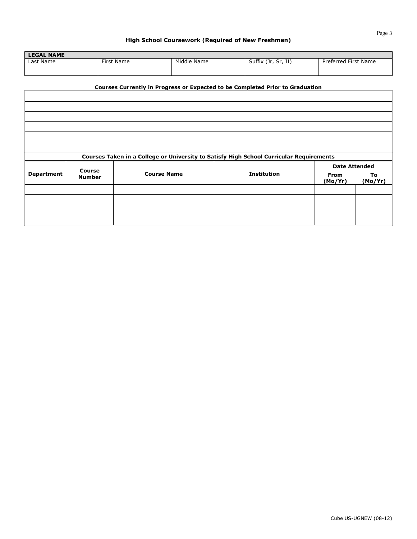#### **High School Coursework (Required of New Freshmen)**

| <b>LEGAL NAME</b> |            |             |                     |                         |
|-------------------|------------|-------------|---------------------|-------------------------|
| Last Name         | First Name | Middle Name | Suffix (Jr, Sr, II) | First Name<br>Preferred |
|                   |            |             |                     |                         |

### **Courses Currently in Progress or Expected to be Completed Prior to Graduation**

|                   |               | Courses Taken in a College or University to Satisfy High School Curricular Requirements |                    |                        |               |
|-------------------|---------------|-----------------------------------------------------------------------------------------|--------------------|------------------------|---------------|
|                   | Course        |                                                                                         |                    | <b>Date Attended</b>   |               |
| <b>Department</b> | <b>Number</b> | <b>Course Name</b>                                                                      | <b>Institution</b> | <b>From</b><br>(Mo/Yr) | To<br>(Mo/Yr) |
|                   |               |                                                                                         |                    |                        |               |
|                   |               |                                                                                         |                    |                        |               |
|                   |               |                                                                                         |                    |                        |               |
|                   |               |                                                                                         |                    |                        |               |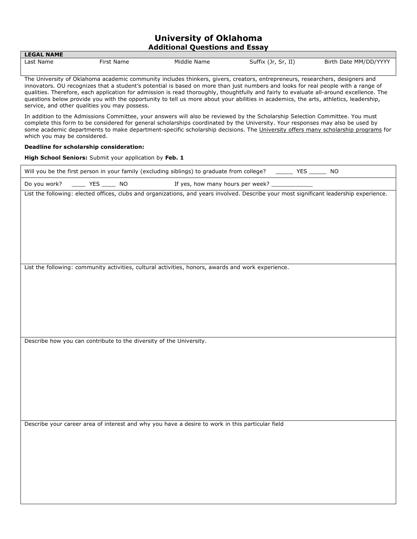### **University of Oklahoma Additional Questions and Essay**

| LLUAL NAML |                 |             |                        |                            |
|------------|-----------------|-------------|------------------------|----------------------------|
| Last Name  | rirst<br>: Name | Middle Name | Suffix (Jr,<br>Sr, II) | , MM/DD/YYYY<br>Birth Date |

The University of Oklahoma academic community includes thinkers, givers, creators, entrepreneurs, researchers, designers and innovators. OU recognizes that a student's potential is based on more than just numbers and looks for real people with a range of qualities. Therefore, each application for admission is read thoroughly, thoughtfully and fairly to evaluate all-around excellence. The questions below provide you with the opportunity to tell us more about your abilities in academics, the arts, athletics, leadership, service, and other qualities you may possess.

In addition to the Admissions Committee, your answers will also be reviewed by the Scholarship Selection Committee. You must complete this form to be considered for general scholarships coordinated by the University. Your responses may also be used by some academic departments to make department-specific scholarship decisions. The University offers many scholarship programs for which you may be considered.

#### **Deadline for scholarship consideration:**

**LEGAL NAME**

**High School Seniors:** Submit your application by **Feb. 1**

|              |                                    | Will you be the first person in your family (excluding siblings) to graduate from college? _______ YES ______ NO                        |                                                 |  |  |
|--------------|------------------------------------|-----------------------------------------------------------------------------------------------------------------------------------------|-------------------------------------------------|--|--|
| Do you work? | $\frac{1}{2}$ YES $\frac{1}{2}$ NO |                                                                                                                                         | If yes, how many hours per week? ______________ |  |  |
|              |                                    | List the following: elected offices, clubs and organizations, and years involved. Describe your most significant leadership experience. |                                                 |  |  |
|              |                                    |                                                                                                                                         |                                                 |  |  |
|              |                                    | List the following: community activities, cultural activities, honors, awards and work experience.                                      |                                                 |  |  |
|              |                                    | Describe how you can contribute to the diversity of the University.                                                                     |                                                 |  |  |
|              |                                    |                                                                                                                                         |                                                 |  |  |
|              |                                    | Describe your career area of interest and why you have a desire to work in this particular field                                        |                                                 |  |  |
|              |                                    |                                                                                                                                         |                                                 |  |  |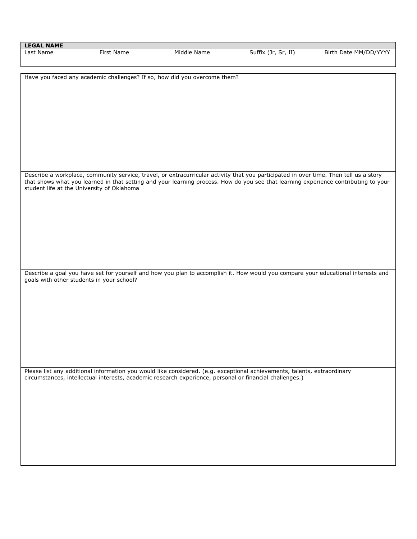| <b>LEGAL NAME</b>                          |            |                                                                                                         |                                                                                                                                       |                       |
|--------------------------------------------|------------|---------------------------------------------------------------------------------------------------------|---------------------------------------------------------------------------------------------------------------------------------------|-----------------------|
| Last Name                                  | First Name | Middle Name                                                                                             | Suffix (Jr, Sr, II)                                                                                                                   | Birth Date MM/DD/YYYY |
|                                            |            |                                                                                                         |                                                                                                                                       |                       |
|                                            |            |                                                                                                         |                                                                                                                                       |                       |
|                                            |            | Have you faced any academic challenges? If so, how did you overcome them?                               |                                                                                                                                       |                       |
|                                            |            |                                                                                                         |                                                                                                                                       |                       |
|                                            |            |                                                                                                         |                                                                                                                                       |                       |
|                                            |            |                                                                                                         |                                                                                                                                       |                       |
|                                            |            |                                                                                                         |                                                                                                                                       |                       |
|                                            |            |                                                                                                         |                                                                                                                                       |                       |
|                                            |            |                                                                                                         |                                                                                                                                       |                       |
|                                            |            |                                                                                                         |                                                                                                                                       |                       |
|                                            |            |                                                                                                         |                                                                                                                                       |                       |
|                                            |            |                                                                                                         |                                                                                                                                       |                       |
|                                            |            |                                                                                                         |                                                                                                                                       |                       |
|                                            |            |                                                                                                         |                                                                                                                                       |                       |
|                                            |            |                                                                                                         |                                                                                                                                       |                       |
|                                            |            |                                                                                                         |                                                                                                                                       |                       |
|                                            |            |                                                                                                         | Describe a workplace, community service, travel, or extracurricular activity that you participated in over time. Then tell us a story |                       |
|                                            |            |                                                                                                         | that shows what you learned in that setting and your learning process. How do you see that learning experience contributing to your   |                       |
| student life at the University of Oklahoma |            |                                                                                                         |                                                                                                                                       |                       |
|                                            |            |                                                                                                         |                                                                                                                                       |                       |
|                                            |            |                                                                                                         |                                                                                                                                       |                       |
|                                            |            |                                                                                                         |                                                                                                                                       |                       |
|                                            |            |                                                                                                         |                                                                                                                                       |                       |
|                                            |            |                                                                                                         |                                                                                                                                       |                       |
|                                            |            |                                                                                                         |                                                                                                                                       |                       |
|                                            |            |                                                                                                         |                                                                                                                                       |                       |
|                                            |            |                                                                                                         |                                                                                                                                       |                       |
|                                            |            |                                                                                                         |                                                                                                                                       |                       |
|                                            |            |                                                                                                         |                                                                                                                                       |                       |
|                                            |            |                                                                                                         |                                                                                                                                       |                       |
|                                            |            |                                                                                                         | Describe a goal you have set for yourself and how you plan to accomplish it. How would you compare your educational interests and     |                       |
| goals with other students in your school?  |            |                                                                                                         |                                                                                                                                       |                       |
|                                            |            |                                                                                                         |                                                                                                                                       |                       |
|                                            |            |                                                                                                         |                                                                                                                                       |                       |
|                                            |            |                                                                                                         |                                                                                                                                       |                       |
|                                            |            |                                                                                                         |                                                                                                                                       |                       |
|                                            |            |                                                                                                         |                                                                                                                                       |                       |
|                                            |            |                                                                                                         |                                                                                                                                       |                       |
|                                            |            |                                                                                                         |                                                                                                                                       |                       |
|                                            |            |                                                                                                         |                                                                                                                                       |                       |
|                                            |            |                                                                                                         |                                                                                                                                       |                       |
|                                            |            |                                                                                                         |                                                                                                                                       |                       |
|                                            |            |                                                                                                         |                                                                                                                                       |                       |
|                                            |            |                                                                                                         |                                                                                                                                       |                       |
|                                            |            |                                                                                                         | Please list any additional information you would like considered. (e.g. exceptional achievements, talents, extraordinary              |                       |
|                                            |            | circumstances, intellectual interests, academic research experience, personal or financial challenges.) |                                                                                                                                       |                       |
|                                            |            |                                                                                                         |                                                                                                                                       |                       |
|                                            |            |                                                                                                         |                                                                                                                                       |                       |
|                                            |            |                                                                                                         |                                                                                                                                       |                       |
|                                            |            |                                                                                                         |                                                                                                                                       |                       |
|                                            |            |                                                                                                         |                                                                                                                                       |                       |
|                                            |            |                                                                                                         |                                                                                                                                       |                       |
|                                            |            |                                                                                                         |                                                                                                                                       |                       |
|                                            |            |                                                                                                         |                                                                                                                                       |                       |
|                                            |            |                                                                                                         |                                                                                                                                       |                       |
|                                            |            |                                                                                                         |                                                                                                                                       |                       |
|                                            |            |                                                                                                         |                                                                                                                                       |                       |
|                                            |            |                                                                                                         |                                                                                                                                       |                       |
|                                            |            |                                                                                                         |                                                                                                                                       |                       |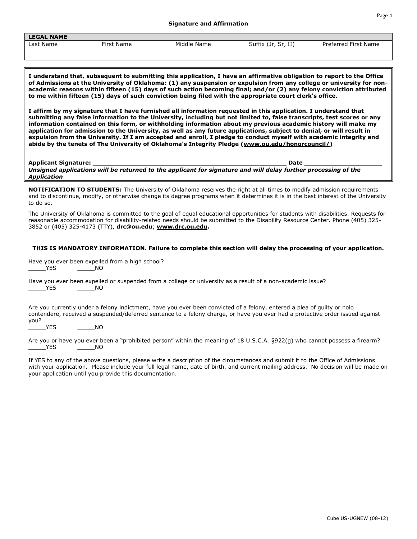Cube US-UGNEW (08-12)

| <b>LEGAL NAME</b> |            |             |                     |                      |
|-------------------|------------|-------------|---------------------|----------------------|
| Last Name         | First Name | Middle Name | Suffix (Jr, Sr, II) | Preferred First Name |

**I understand that, subsequent to submitting this application, I have an affirmative obligation to report to the Office of Admissions at the University of Oklahoma: (1) any suspension or expulsion from any college or university for nonacademic reasons within fifteen (15) days of such action becoming final; and/or (2) any felony conviction attributed to me within fifteen (15) days of such conviction being filed with the appropriate court clerk's office.**

**I affirm by my signature that I have furnished all information requested in this application. I understand that submitting any false information to the University, including but not limited to, false transcripts, test scores or any information contained on this form, or withholding information about my previous academic history will make my application for admission to the University, as well as any future applications, subject to denial, or will result in expulsion from the University. If I am accepted and enroll, I pledge to conduct myself with academic integrity and abide by the tenets of The University of Oklahoma's Integrity Pledge [\(www.ou.edu/honorcouncil/\)](http://www.ou.edu/honorcouncil/)**

**Applicant Signature: \_\_\_\_\_\_\_\_\_\_\_\_\_\_\_\_\_\_\_\_\_\_\_\_\_\_\_\_\_\_\_\_\_\_\_\_\_\_\_\_\_\_\_\_\_\_\_\_\_\_ Date \_\_\_\_\_\_\_\_\_\_\_\_\_\_\_\_\_\_\_\_**

*Unsigned applications will be returned to the applicant for signature and will delay further processing of the Application*

**NOTIFICATION TO STUDENTS:** The University of Oklahoma reserves the right at all times to modify admission requirements and to discontinue, modify, or otherwise change its degree programs when it determines it is in the best interest of the University to do so.

The University of Oklahoma is committed to the goal of equal educational opportunities for students with disabilities. Requests for reasonable accommodation for disability-related needs should be submitted to the Disability Resource Center. Phone (405) 325- 3852 or (405) 325-4173 (TTY), **drc@ou.edu**; **[www.drc.ou.edu.](http://www.drc.ou.edu/)**

### **THIS IS MANDATORY INFORMATION. Failure to complete this section will delay the processing of your application.**

Have you ever been expelled from a high school? YES NO

Have you ever been expelled or suspended from a college or university as a result of a non-academic issue? YES NO

Are you currently under a felony indictment, have you ever been convicted of a felony, entered a plea of guilty or nolo contendere, received a suspended/deferred sentence to a felony charge, or have you ever had a protective order issued against you?

YES NO

Are you or have you ever been a "prohibited person" within the meaning of 18 U.S.C.A. §922(g) who cannot possess a firearm? YES NO

If YES to any of the above questions, please write a description of the circumstances and submit it to the Office of Admissions with your application. Please include your full legal name, date of birth, and current mailing address. No decision will be made on your application until you provide this documentation.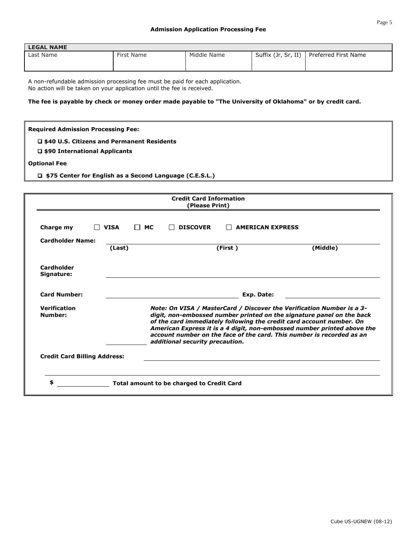| <b>LEGAL NAME</b> |            |             |                     |                      |
|-------------------|------------|-------------|---------------------|----------------------|
| Last Name         | First Name | Middle Name | Suffix (Jr, Sr, II) | Preferred First Name |

A non-refundable admission processing fee must be paid for each application. No action will be taken on your application until the fee is received.

### **The fee is payable by check or money order made payable to "The University of Oklahoma" or by credit card.**

#### **Required Admission Processing Fee:**

 **\$40 U.S. Citizens and Permanent Residents** 

 **\$90 International Applicants** 

#### **Optional Fee**

 **\$75 Center for English as a Second Language (C.E.S.L.)** 

|                                     |        |                     | <b>Credit Card Information</b><br>(Please Print) |                         |                                                                                                                                                                                                                                                                                                                                                                            |
|-------------------------------------|--------|---------------------|--------------------------------------------------|-------------------------|----------------------------------------------------------------------------------------------------------------------------------------------------------------------------------------------------------------------------------------------------------------------------------------------------------------------------------------------------------------------------|
| Charge my                           | VISA   | <b>MC</b><br>$\Box$ | <b>DISCOVER</b>                                  | <b>AMERICAN EXPRESS</b> |                                                                                                                                                                                                                                                                                                                                                                            |
| <b>Cardholder Name:</b>             | (Last) |                     |                                                  | (First)                 | (Middle)                                                                                                                                                                                                                                                                                                                                                                   |
| Cardholder<br>Signature:            |        |                     |                                                  |                         |                                                                                                                                                                                                                                                                                                                                                                            |
| <b>Card Number:</b>                 |        |                     |                                                  | Exp. Date:              |                                                                                                                                                                                                                                                                                                                                                                            |
| <b>Verification</b><br>Number:      |        |                     | additional security precaution.                  |                         | Note: On VISA / MasterCard / Discover the Verification Number is a 3-<br>digit, non-embossed number printed on the signature panel on the back<br>of the card immediately following the credit card account number. On<br>American Express it is a 4 digit, non-embossed number printed above the<br>account number on the face of the card. This number is recorded as an |
| <b>Credit Card Billing Address:</b> |        |                     |                                                  |                         |                                                                                                                                                                                                                                                                                                                                                                            |
| \$                                  |        |                     | Total amount to be charged to Credit Card        |                         |                                                                                                                                                                                                                                                                                                                                                                            |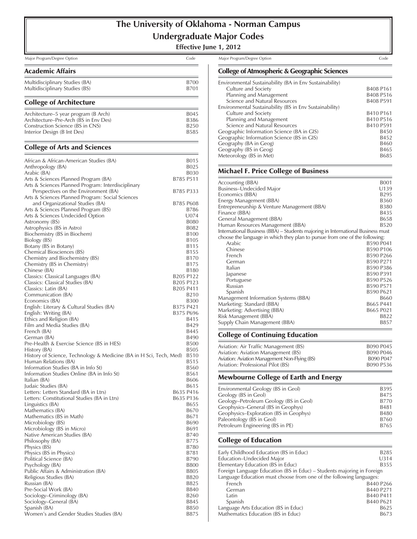# **The University of Oklahoma - Norman Campus Undergraduate Major Codes**

**Effective June 1, 2012**

Major Program/Degree Option Code Major Program/Degree Option Code

### Academic Affairs

| Multidisciplinary Studies (BA) | B700 |
|--------------------------------|------|
| Multidisciplinary Studies (BS) | B701 |

### College of Architecture

| Architecture–5 year program (B Arch)  | B <sub>045</sub> |
|---------------------------------------|------------------|
| Architecture–Pre-Arch (BS in Env Des) | B386             |
| Construction Science (BS in CNS)      | B <sub>250</sub> |
| Interior Design (B Int Des)           | <b>B585</b>      |
|                                       |                  |

#### College of Arts and Sciences

| African & African-American Studies (BA)                            |                                   | B015             |
|--------------------------------------------------------------------|-----------------------------------|------------------|
| Anthropology (BA)                                                  |                                   | B025             |
| Arabic (BA)                                                        |                                   | B030             |
| Arts & Sciences Planned Program (BA)                               | B785 P511                         |                  |
| Arts & Sciences Planned Program: Interdisciplinary                 |                                   |                  |
| Perspectives on the Environment (BA)                               | B785 P333                         |                  |
| Arts & Sciences Planned Program: Social Sciences                   |                                   |                  |
| and Organizational Studies (BA)                                    | B785 P608                         |                  |
| Arts & Sciences Planned Program (BS)                               |                                   | B786             |
| Arts & Sciences Undecided Option                                   |                                   | U074             |
| Astronomy (BS)                                                     |                                   | B080             |
| Astrophysics (BS in Astro)                                         |                                   | B082             |
| Biochemistry (BS in Biochem)                                       |                                   | <b>B100</b>      |
| Biology (BS)                                                       |                                   | B <sub>105</sub> |
| Botany (BS in Botany)                                              |                                   | B115             |
| Chemical Biosciences (BS)                                          |                                   | B155             |
| Chemistry and Biochemistry (BS)                                    |                                   | B170             |
| Chemistry (BS in Chemistry)                                        |                                   | B175             |
| Chinese (BA)                                                       |                                   | B <sub>180</sub> |
| Classics: Classical Languages (BA)                                 | B <sub>205</sub> P <sub>122</sub> |                  |
| Classics: Classical Studies (BA)                                   | B205 P123                         |                  |
| Classics: Latin (BA)                                               | B205 P411                         |                  |
| Communication (BA)                                                 |                                   | B <sub>210</sub> |
| Economics (BA)                                                     |                                   | <b>B300</b>      |
| English: Literary & Cultural Studies (BA)                          | B375 P421                         |                  |
| English: Writing (BA)                                              | B375 P696                         |                  |
| Ethics and Religion (BA)<br>Film and Media Studies (BA)            |                                   | B415<br>B429     |
| French (BA)                                                        |                                   | B445             |
| German (BA)                                                        |                                   | B490             |
| Pre-Health & Exercise Science (BS in HES)                          |                                   | <b>B500</b>      |
| History (BA)                                                       |                                   | <b>B505</b>      |
| History of Science, Technology & Medicine (BA in H Sci, Tech, Med) |                                   | <b>B510</b>      |
| Human Relations (BA)                                               |                                   | B515             |
| Information Studies (BA in Info St)                                |                                   | <b>B560</b>      |
| Information Studies Online (BA in Info St)                         |                                   | B561             |
| Italian (BA)                                                       |                                   | <b>B606</b>      |
| Judaic Studies (BA)                                                |                                   | B615             |
| Letters: Letters Standard (BA in Ltrs)                             | B635 P416                         |                  |
| Letters: Constitutional Studies (BA in Ltrs)                       | B635 P136                         |                  |
| Linguistics (BA)                                                   |                                   | B655             |
| Mathematics (BA)                                                   |                                   | B670             |
| Mathematics (BS in Math)                                           |                                   | B671             |
| Microbiology (BS)                                                  |                                   | B690             |
| Microbiology (BS in Micro)                                         |                                   | B691             |
| Native American Studies (BA)                                       |                                   | B740             |
| Philosophy (BA)                                                    |                                   | B775             |
| Physics (BS)                                                       |                                   | B780             |
| Physics (BS in Physics)                                            |                                   | B781             |
| Political Science (BA)                                             |                                   |                  |
|                                                                    |                                   | B790             |
| Psychology (BA)                                                    |                                   | <b>B800</b>      |
| Public Affairs & Administration (BA)                               |                                   | <b>B805</b>      |
| Religious Studies (BA)                                             |                                   | <b>B820</b>      |
| Russian (BA)                                                       |                                   | B825             |
| Pre-Social Work (BA)                                               |                                   | <b>B840</b>      |
| Sociology-Criminology (BA)                                         |                                   | B260             |
| Sociology-General (BA)                                             |                                   | B845             |
| Spanish (BA)<br>Women's and Gender Studies Studies (BA)            |                                   | B850<br>B875     |

### College of Atmospheric & Geographic Sciences

| Environmental Sustainability (BA in Env Sustainability) |             |
|---------------------------------------------------------|-------------|
| Culture and Society                                     | B408 P161   |
| Planning and Management                                 | B408 P516   |
| Science and Natural Resources                           | B408 P591   |
| Environmental Sustainability (BS in Env Sustainability) |             |
| Culture and Society                                     | B410 P161   |
| Planning and Management                                 | B410 P516   |
| Science and Natural Resources                           | B410 P591   |
| Geographic Information Science (BA in GIS)              | <b>B450</b> |
| Geographic Information Science (BS in GIS)              | B452        |
| Geography (BA in Geog)                                  | <b>B460</b> |
| Geography (BS in Geog)                                  | B465        |
| Meteorology (BS in Met)                                 | B685        |
|                                                         |             |

#### Michael F. Price College of Business

| Accounting (BBA)                            |                                                                                       | <b>B001</b>                                                                                                                                                    |
|---------------------------------------------|---------------------------------------------------------------------------------------|----------------------------------------------------------------------------------------------------------------------------------------------------------------|
| Business-Undecided Major                    |                                                                                       | U139                                                                                                                                                           |
| Economics (BBA)                             |                                                                                       | <b>B295</b>                                                                                                                                                    |
| Energy Management (BBA)                     |                                                                                       | <b>B360</b>                                                                                                                                                    |
| Entrepreneurship & Venture Management (BBA) |                                                                                       | <b>B380</b>                                                                                                                                                    |
| Finance (BBA)                               |                                                                                       | <b>B435</b>                                                                                                                                                    |
|                                             |                                                                                       | <b>B658</b>                                                                                                                                                    |
| Human Resources Management (BBA)            |                                                                                       | <b>B520</b>                                                                                                                                                    |
|                                             |                                                                                       |                                                                                                                                                                |
|                                             |                                                                                       |                                                                                                                                                                |
| Arabic                                      | B590 P041                                                                             |                                                                                                                                                                |
| Chinese                                     | B590 P106                                                                             |                                                                                                                                                                |
| French                                      | B590 P266                                                                             |                                                                                                                                                                |
| German                                      | B590 P271                                                                             |                                                                                                                                                                |
| Italian                                     | B590 P386                                                                             |                                                                                                                                                                |
| Japanese                                    | B590 P391                                                                             |                                                                                                                                                                |
| Portuguese                                  | B590 P526                                                                             |                                                                                                                                                                |
| Russian                                     | B590 P571                                                                             |                                                                                                                                                                |
| Spanish                                     | B590 P621                                                                             |                                                                                                                                                                |
| Management Information Systems (BBA)        |                                                                                       | B660                                                                                                                                                           |
|                                             | B665 P441                                                                             |                                                                                                                                                                |
|                                             | B665 P021                                                                             |                                                                                                                                                                |
| Risk Management (BBA)                       |                                                                                       | B822                                                                                                                                                           |
| Supply Chain Management (BBA)               |                                                                                       | B857                                                                                                                                                           |
|                                             | General Management (BBA)<br>Marketing: Standard (BBA)<br>Marketing: Advertising (BBA) | International Business (BBA) - Students majoring in International Business must<br>choose the language in which they plan to pursue from one of the following: |

### College of Continuing Education

| B090 P045 |
|-----------|
| B090 P046 |
| B090 P047 |
| B090 P536 |
|           |

### Mewbourne College of Earth and Energy

| Environmental Geology (BS in Geol)     | <b>B395</b> |
|----------------------------------------|-------------|
| Geology (BS in Geol)                   | <b>B475</b> |
| Geology-Petroleum Geology (BS in Geol) | B770        |
| Geophysics-General (BS in Geophys)     | B481        |
| Geophysics-Exploration (BS in Geophys) | <b>B480</b> |
| Paleontology (BS in Geol)              | B760        |
| Petroleum Engineering (BS in PE)       | B765        |

### College of Education

| Early Childhood Education (BS in Educ)                                 | B285        |
|------------------------------------------------------------------------|-------------|
| Education-Undecided Major                                              | U314        |
| Elementary Education (BS in Educ)                                      | <b>B355</b> |
| Foreign Language Education (BS in Educ) - Students majoring in Foreign |             |
| Language Education must choose from one of the following languages:    |             |
| French                                                                 | B440 P266   |
| German                                                                 | B440 P271   |
| Latin                                                                  | B440 P411   |
| Spanish                                                                | B440 P621   |
| Language Arts Education (BS in Educ)                                   | B625        |
| Mathematics Education (BS in Educ)                                     | B673        |